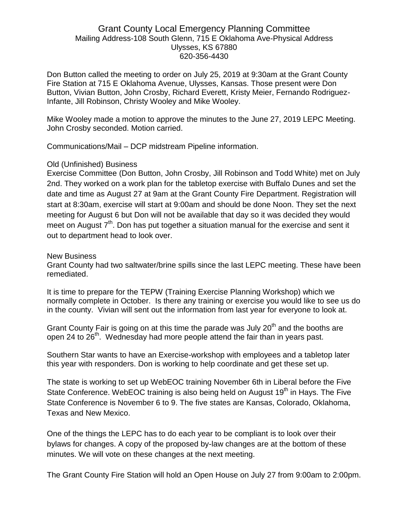## Grant County Local Emergency Planning Committee Mailing Address-108 South Glenn, 715 E Oklahoma Ave-Physical Address Ulysses, KS 67880 620-356-4430

Don Button called the meeting to order on July 25, 2019 at 9:30am at the Grant County Fire Station at 715 E Oklahoma Avenue, Ulysses, Kansas. Those present were Don Button, Vivian Button, John Crosby, Richard Everett, Kristy Meier, Fernando Rodriguez-Infante, Jill Robinson, Christy Wooley and Mike Wooley.

Mike Wooley made a motion to approve the minutes to the June 27, 2019 LEPC Meeting. John Crosby seconded. Motion carried.

Communications/Mail – DCP midstream Pipeline information.

## Old (Unfinished) Business

Exercise Committee (Don Button, John Crosby, Jill Robinson and Todd White) met on July 2nd. They worked on a work plan for the tabletop exercise with Buffalo Dunes and set the date and time as August 27 at 9am at the Grant County Fire Department. Registration will start at 8:30am, exercise will start at 9:00am and should be done Noon. They set the next meeting for August 6 but Don will not be available that day so it was decided they would meet on August  $7<sup>th</sup>$ . Don has put together a situation manual for the exercise and sent it out to department head to look over.

## New Business

Grant County had two saltwater/brine spills since the last LEPC meeting. These have been remediated.

It is time to prepare for the TEPW (Training Exercise Planning Workshop) which we normally complete in October. Is there any training or exercise you would like to see us do in the county. Vivian will sent out the information from last year for everyone to look at.

Grant County Fair is going on at this time the parade was July  $20<sup>th</sup>$  and the booths are open 24 to 26<sup>th</sup>. Wednesday had more people attend the fair than in years past.

Southern Star wants to have an Exercise-workshop with employees and a tabletop later this year with responders. Don is working to help coordinate and get these set up.

The state is working to set up WebEOC training November 6th in Liberal before the Five State Conference. WebEOC training is also being held on August 19<sup>th</sup> in Hays. The Five State Conference is November 6 to 9. The five states are Kansas, Colorado, Oklahoma, Texas and New Mexico.

One of the things the LEPC has to do each year to be compliant is to look over their bylaws for changes. A copy of the proposed by-law changes are at the bottom of these minutes. We will vote on these changes at the next meeting.

The Grant County Fire Station will hold an Open House on July 27 from 9:00am to 2:00pm.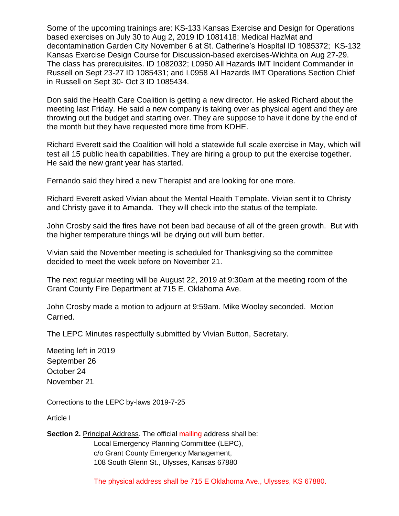Some of the upcoming trainings are: KS-133 Kansas Exercise and Design for Operations based exercises on July 30 to Aug 2, 2019 ID 1081418; Medical HazMat and decontamination Garden City November 6 at St. Catherine's Hospital ID 1085372; KS-132 Kansas Exercise Design Course for Discussion-based exercises-Wichita on Aug 27-29. The class has prerequisites. ID 1082032; L0950 All Hazards IMT Incident Commander in Russell on Sept 23-27 ID 1085431; and L0958 All Hazards IMT Operations Section Chief in Russell on Sept 30- Oct 3 ID 1085434.

Don said the Health Care Coalition is getting a new director. He asked Richard about the meeting last Friday. He said a new company is taking over as physical agent and they are throwing out the budget and starting over. They are suppose to have it done by the end of the month but they have requested more time from KDHE.

Richard Everett said the Coalition will hold a statewide full scale exercise in May, which will test all 15 public health capabilities. They are hiring a group to put the exercise together. He said the new grant year has started.

Fernando said they hired a new Therapist and are looking for one more.

Richard Everett asked Vivian about the Mental Health Template. Vivian sent it to Christy and Christy gave it to Amanda. They will check into the status of the template.

John Crosby said the fires have not been bad because of all of the green growth. But with the higher temperature things will be drying out will burn better.

Vivian said the November meeting is scheduled for Thanksgiving so the committee decided to meet the week before on November 21.

The next regular meeting will be August 22, 2019 at 9:30am at the meeting room of the Grant County Fire Department at 715 E. Oklahoma Ave.

John Crosby made a motion to adjourn at 9:59am. Mike Wooley seconded. Motion Carried.

The LEPC Minutes respectfully submitted by Vivian Button, Secretary.

Meeting left in 2019 September 26 October 24 November 21

Corrections to the LEPC by-laws 2019-7-25

Article I

**Section 2.** Principal Address. The official mailing address shall be: Local Emergency Planning Committee (LEPC), c/o Grant County Emergency Management, 108 South Glenn St., Ulysses, Kansas 67880

The physical address shall be 715 E Oklahoma Ave., Ulysses, KS 67880.